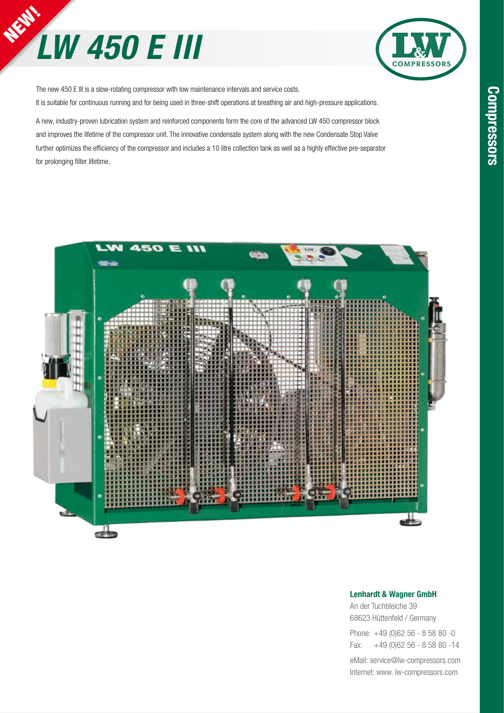## **NEW!** *LW 450 E III*



The new 450 E III is a slow-rotating compressor with low maintenance intervals and service costs. It is suitable for continuous running and for being used in three-shift operations at breathing air and high-pressure applications.

A new, industry-proven lubrication system and reinforced components form the core of the advanced LW 450 compressor block and improves the lifetime of the compressor unit. The innovative condensate system along with the new Condensate Stop Valve further optimizes the efficiency of the compressor and includes a 10 litre collection tank as well as a highly effective pre-separator for prolonging filter lifetime.



#### Lenhardt & Wagner GmbH

An der Tuchbleiche 39 68623 Hüttenfeld / Germany

Phone: +49 (0)62 56 - 8 58 80 -0 Fax: +49 (0)62 56 - 8 58 80 -14

eMail: service@lw-compressors.com Internet: www. lw-compressors.com